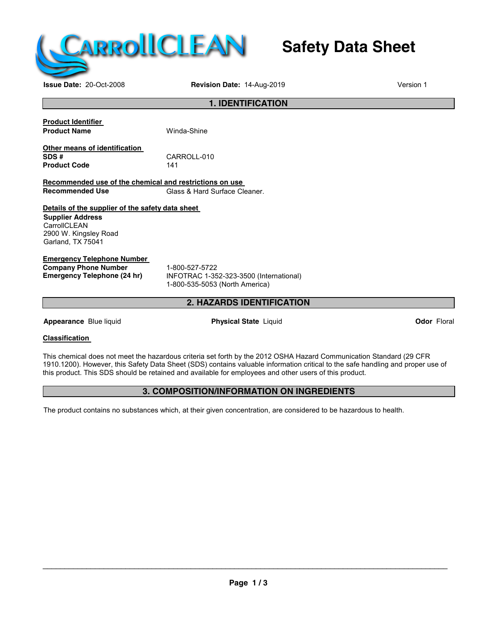

# **Safety Data Sheet**

**Issue Date:** 20-Oct-2008 **Revision Date:** 14-Aug-2019 Version 1 **Version** 1

## **1. IDENTIFICATION Product Identifier Product Name Winda-Shine Other means of identification SDS #** CARROLL-010 **Product Code Recommended use of the chemical and restrictions on use Recommended Use** Glass & Hard Surface Cleaner. **Details of the supplier of the safety data sheet Supplier Address CarrollCLEAN** 2900 W. Kingsley Road Garland, TX 75041 **Emergency Telephone Number Company Phone Number** 1-800-527-5722<br> **Emergency Telephone (24 hr)** INFOTRAC 1-35 **Emergency Telephone (24 hr)** INFOTRAC 1-352-323-3500 (International) 1-800-535-5053 (North America) **2. HAZARDS IDENTIFICATION Appearance** Blue liquid **Physical State** Liquid **Odor** Floral

#### **Classification**

This chemical does not meet the hazardous criteria set forth by the 2012 OSHA Hazard Communication Standard (29 CFR 1910.1200). However, this Safety Data Sheet (SDS) contains valuable information critical to the safe handling and proper use of this product. This SDS should be retained and available for employees and other users of this product.

#### **3. COMPOSITION/INFORMATION ON INGREDIENTS**

The product contains no substances which, at their given concentration, are considered to be hazardous to health.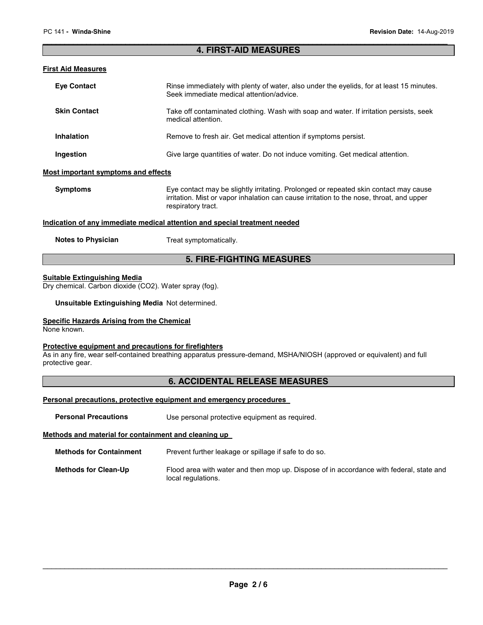#### \_\_\_\_\_\_\_\_\_\_\_\_\_\_\_\_\_\_\_\_\_\_\_\_\_\_\_\_\_\_\_\_\_\_\_\_\_\_\_\_\_\_\_\_\_\_\_\_\_\_\_\_\_\_\_\_\_\_\_\_\_\_\_\_\_\_\_\_\_\_\_\_\_\_\_\_\_\_\_\_\_\_\_\_\_\_\_\_\_\_\_\_\_ **4. FIRST-AID MEASURES**

#### **First Aid Measures**

| <b>Eye Contact</b>                                                         | Rinse immediately with plenty of water, also under the eyelids, for at least 15 minutes.<br>Seek immediate medical attention/advice.                                                                   |  |
|----------------------------------------------------------------------------|--------------------------------------------------------------------------------------------------------------------------------------------------------------------------------------------------------|--|
| <b>Skin Contact</b>                                                        | Take off contaminated clothing. Wash with soap and water. If irritation persists, seek<br>medical attention.                                                                                           |  |
| <b>Inhalation</b>                                                          | Remove to fresh air. Get medical attention if symptoms persist.                                                                                                                                        |  |
| Ingestion                                                                  | Give large quantities of water. Do not induce vomiting. Get medical attention.                                                                                                                         |  |
| <b>Most important symptoms and effects</b>                                 |                                                                                                                                                                                                        |  |
| <b>Symptoms</b>                                                            | Eye contact may be slightly irritating. Prolonged or repeated skin contact may cause<br>irritation. Mist or vapor inhalation can cause irritation to the nose, throat, and upper<br>respiratory tract. |  |
| Indication of any immediate medical attention and special treatment needed |                                                                                                                                                                                                        |  |
| <b>Notes to Physician</b>                                                  | Treat symptomatically.                                                                                                                                                                                 |  |

#### **5. FIRE-FIGHTING MEASURES**

#### **Suitable Extinguishing Media**

Dry chemical. Carbon dioxide (CO2). Water spray (fog).

**Unsuitable Extinguishing Media** Not determined.

#### **Specific Hazards Arising from the Chemical**

None known.

#### **Protective equipment and precautions for firefighters**

As in any fire, wear self-contained breathing apparatus pressure-demand, MSHA/NIOSH (approved or equivalent) and full protective gear.

#### **6. ACCIDENTAL RELEASE MEASURES**

#### **Personal precautions, protective equipment and emergency procedures**

**Personal Precautions Use personal protective equipment as required.** 

#### **Methods and material for containment and cleaning up**

| <b>Methods for Containment</b> | Prevent further leakage or spillage if safe to do so. |
|--------------------------------|-------------------------------------------------------|
|--------------------------------|-------------------------------------------------------|

```
Methods for Clean-Up Flood area with water and then mop up. Dispose of in accordance with federal, state and 
                   local regulations.
```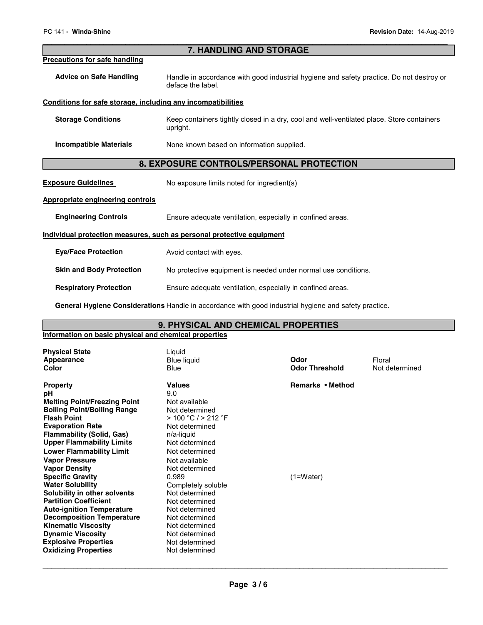#### \_\_\_\_\_\_\_\_\_\_\_\_\_\_\_\_\_\_\_\_\_\_\_\_\_\_\_\_\_\_\_\_\_\_\_\_\_\_\_\_\_\_\_\_\_\_\_\_\_\_\_\_\_\_\_\_\_\_\_\_\_\_\_\_\_\_\_\_\_\_\_\_\_\_\_\_\_\_\_\_\_\_\_\_\_\_\_\_\_\_\_\_\_ **7. HANDLING AND STORAGE**

**Precautions for safe handling**

| --  |  |
|-----|--|
|     |  |
| . . |  |

| <b>Advice on Safe Handling</b> | Handle in accordance with good industrial hygiene and safety practice. Do not destroy or |
|--------------------------------|------------------------------------------------------------------------------------------|
|                                | deface the label.                                                                        |

#### **Conditions for safe storage, including any incompatibilities**

| <b>Storage Conditions</b> | Keep containers tightly closed in a dry, cool and well-ventilated place. Store containers |
|---------------------------|-------------------------------------------------------------------------------------------|
|                           | upright.                                                                                  |
|                           |                                                                                           |

**Incompatible Materials** None known based on information supplied.

#### **8. EXPOSURE CONTROLS/PERSONAL PROTECTION**

**Exposure Guidelines** No exposure limits noted for ingredient(s)

#### **Appropriate engineering controls**

**Engineering Controls Ensure adequate ventilation, especially in confined areas.** 

#### **Individual protection measures, such as personal protective equipment**

**Eye/Face Protection** Avoid contact with eyes.

#### **Skin and Body Protection No protective equipment is needed under normal use conditions.**

**Respiratory Protection Ensure adequate ventilation, especially in confined areas.** 

**General Hygiene Considerations** Handle in accordance with good industrial hygiene and safety practice.

#### **9. PHYSICAL AND CHEMICAL PROPERTIES**

#### **Information on basic physical and chemical properties**

| <b>Physical State</b><br>Appearance<br>Color                                                                                                                                                                                                                                                                                                                                                                                                                                                                                                                                                                                          | Liquid<br><b>Blue liquid</b><br>Blue                                                                                                                                                                                                                                                                                                                                     | Odor<br><b>Odor Threshold</b>   | Floral<br>Not determined |
|---------------------------------------------------------------------------------------------------------------------------------------------------------------------------------------------------------------------------------------------------------------------------------------------------------------------------------------------------------------------------------------------------------------------------------------------------------------------------------------------------------------------------------------------------------------------------------------------------------------------------------------|--------------------------------------------------------------------------------------------------------------------------------------------------------------------------------------------------------------------------------------------------------------------------------------------------------------------------------------------------------------------------|---------------------------------|--------------------------|
| <b>Property</b><br>рH<br><b>Melting Point/Freezing Point</b><br><b>Boiling Point/Boiling Range</b><br><b>Flash Point</b><br><b>Evaporation Rate</b><br><b>Flammability (Solid, Gas)</b><br><b>Upper Flammability Limits</b><br><b>Lower Flammability Limit</b><br><b>Vapor Pressure</b><br><b>Vapor Density</b><br><b>Specific Gravity</b><br><b>Water Solubility</b><br>Solubility in other solvents<br><b>Partition Coefficient</b><br><b>Auto-ignition Temperature</b><br><b>Decomposition Temperature</b><br><b>Kinematic Viscosity</b><br><b>Dynamic Viscosity</b><br><b>Explosive Properties</b><br><b>Oxidizing Properties</b> | <b>Values</b><br>9.0<br>Not available<br>Not determined<br>$>$ 100 °C / $>$ 212 °F<br>Not determined<br>n/a-liquid<br>Not determined<br>Not determined<br>Not available<br>Not determined<br>0.989<br>Completely soluble<br>Not determined<br>Not determined<br>Not determined<br>Not determined<br>Not determined<br>Not determined<br>Not determined<br>Not determined | Remarks • Method<br>$(1=Water)$ |                          |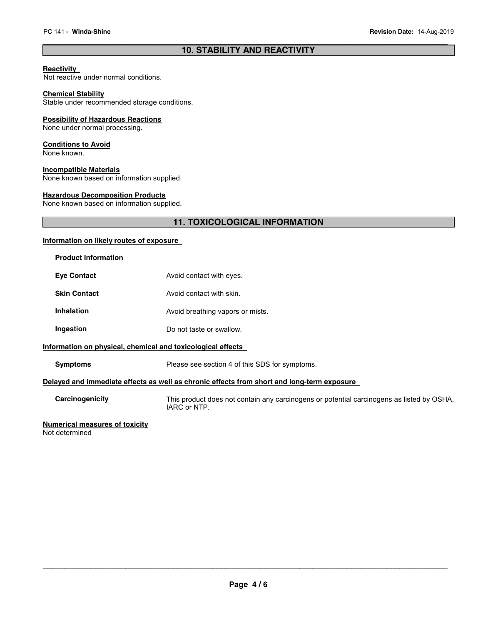#### \_\_\_\_\_\_\_\_\_\_\_\_\_\_\_\_\_\_\_\_\_\_\_\_\_\_\_\_\_\_\_\_\_\_\_\_\_\_\_\_\_\_\_\_\_\_\_\_\_\_\_\_\_\_\_\_\_\_\_\_\_\_\_\_\_\_\_\_\_\_\_\_\_\_\_\_\_\_\_\_\_\_\_\_\_\_\_\_\_\_\_\_\_ **10. STABILITY AND REACTIVITY**

#### **Reactivity**

Not reactive under normal conditions.

#### **Chemical Stability**

Stable under recommended storage conditions.

#### **Possibility of Hazardous Reactions**

None under normal processing.

#### **Conditions to Avoid**

None known.

#### **Incompatible Materials**

None known based on information supplied.

#### **Hazardous Decomposition Products**

None known based on information supplied.

### **11. TOXICOLOGICAL INFORMATION**

#### **Information on likely routes of exposure**

| <b>Product Information</b>                                                                                    |                                                                                                           |  |  |
|---------------------------------------------------------------------------------------------------------------|-----------------------------------------------------------------------------------------------------------|--|--|
| <b>Eye Contact</b>                                                                                            | Avoid contact with eyes.                                                                                  |  |  |
| <b>Skin Contact</b>                                                                                           | Avoid contact with skin.                                                                                  |  |  |
| <b>Inhalation</b>                                                                                             | Avoid breathing vapors or mists.                                                                          |  |  |
| Ingestion                                                                                                     | Do not taste or swallow.                                                                                  |  |  |
| Information on physical, chemical and toxicological effects                                                   |                                                                                                           |  |  |
| <b>Symptoms</b>                                                                                               | Please see section 4 of this SDS for symptoms.                                                            |  |  |
| Delayed and immediate effects as well as chronic effects from short and long-term exposure                    |                                                                                                           |  |  |
| Carcinogenicity                                                                                               | This product does not contain any carcinogens or potential carcinogens as listed by OSHA,<br>IARC or NTP. |  |  |
| Alexandria de la construcción de la calidad de la contrada de la contrada de la contrada de la contrada de la |                                                                                                           |  |  |

#### **Numerical measures of toxicity**

Not determined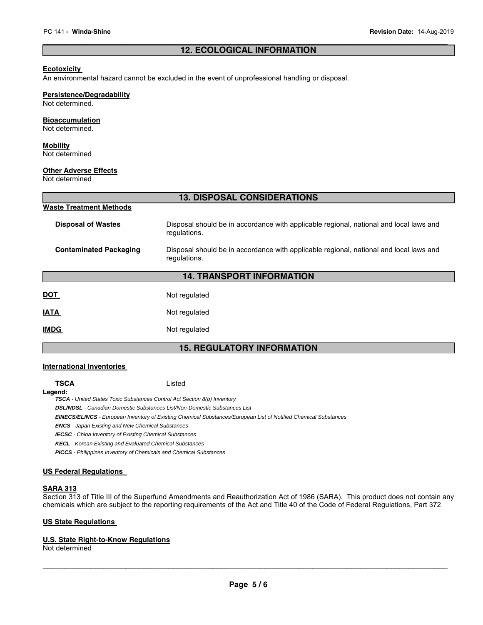#### \_\_\_\_\_\_\_\_\_\_\_\_\_\_\_\_\_\_\_\_\_\_\_\_\_\_\_\_\_\_\_\_\_\_\_\_\_\_\_\_\_\_\_\_\_\_\_\_\_\_\_\_\_\_\_\_\_\_\_\_\_\_\_\_\_\_\_\_\_\_\_\_\_\_\_\_\_\_\_\_\_\_\_\_\_\_\_\_\_\_\_\_\_ **12. ECOLOGICAL INFORMATION**

#### **Ecotoxicity**

An environmental hazard cannot be excluded in the event of unprofessional handling or disposal.

#### **Persistence/Degradability**

Not determined.

#### **Bioaccumulation**

Not determined.

#### **Mobility**

Not determined

#### **Other Adverse Effects**

Not determined

| <b>13. DISPOSAL CONSIDERATIONS</b> |                                                                                                        |  |
|------------------------------------|--------------------------------------------------------------------------------------------------------|--|
| <b>Waste Treatment Methods</b>     |                                                                                                        |  |
| <b>Disposal of Wastes</b>          | Disposal should be in accordance with applicable regional, national and local laws and<br>regulations. |  |
| <b>Contaminated Packaging</b>      | Disposal should be in accordance with applicable regional, national and local laws and<br>regulations. |  |
| <b>14. TRANSPORT INFORMATION</b>   |                                                                                                        |  |
| <b>DOT</b>                         | Not regulated                                                                                          |  |
| <b>IATA</b>                        | Not regulated                                                                                          |  |
| <b>IMDG</b>                        | Not regulated                                                                                          |  |

#### **15. REGULATORY INFORMATION**

#### **International Inventories**

**TSCA** Listed

**Legend:** 

**TSCA** - United States Toxic Substances Control Act Section 8(b) Inventory

**DSL/NDSL** - Canadian Domestic Substances List/Non-Domestic Substances List

**EINECS/ELINCS** - European Inventory of Existing Chemical Substances/European List of Notified Chemical Substances

**ENCS** - Japan Existing and New Chemical Substances

**IECSC** - China Inventory of Existing Chemical Substances

**KECL** - Korean Existing and Evaluated Chemical Substances

**PICCS** - Philippines Inventory of Chemicals and Chemical Substances

#### **US Federal Regulations**

#### **SARA 313**

Section 313 of Title III of the Superfund Amendments and Reauthorization Act of 1986 (SARA). This product does not contain any chemicals which are subject to the reporting requirements of the Act and Title 40 of the Code of Federal Regulations, Part 372

#### **US State Regulations**

#### **U.S. State Right-to-Know Regulations**

Not determined